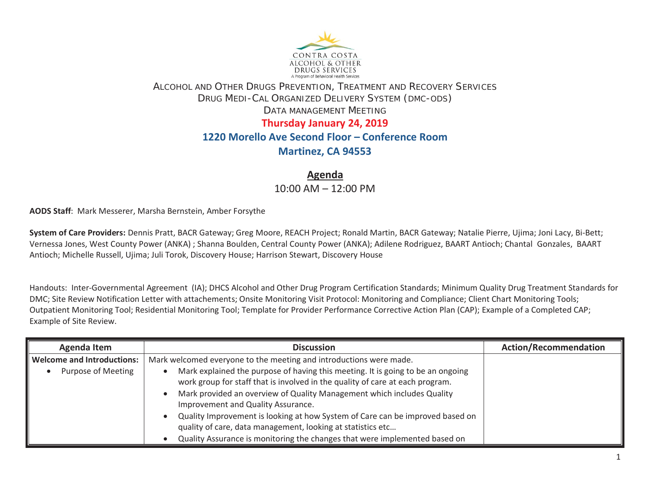

## ALCOHOL AND OTHER DRUGS PREVENTION, TREATMENT AND RECOVERY SERVICES DRUG MEDI-CAL ORGANIZED DELIVERY SYSTEM (DMC-ODS) DATA MANAGEMENT MEETING **Thursday January 24, 2019**

## **1220 Morello Ave Second Floor – Conference Room**

## **Martinez, CA 94553**

**Agenda** 

10:00 AM – 12:00 PM

**AODS Staff**: Mark Messerer, Marsha Bernstein, Amber Forsythe

**System of Care Providers:** Dennis Pratt, BACR Gateway; Greg Moore, REACH Project; Ronald Martin, BACR Gateway; Natalie Pierre, Ujima; Joni Lacy, Bi-Bett; Vernessa Jones, West County Power (ANKA) ; Shanna Boulden, Central County Power (ANKA); Adilene Rodriguez, BAART Antioch; Chantal Gonzales, BAART Antioch; Michelle Russell, Ujima; Juli Torok, Discovery House; Harrison Stewart, Discovery House

Handouts: Inter-Governmental Agreement (IA); DHCS Alcohol and Other Drug Program Certification Standards; Minimum Quality Drug Treatment Standards for DMC; Site Review Notification Letter with attachements; Onsite Monitoring Visit Protocol: Monitoring and Compliance; Client Chart Monitoring Tools; Outpatient Monitoring Tool; Residential Monitoring Tool; Template for Provider Performance Corrective Action Plan (CAP); Example of a Completed CAP; Example of Site Review.

| <b>Agenda Item</b>                | <b>Discussion</b>                                                               | <b>Action/Recommendation</b> |
|-----------------------------------|---------------------------------------------------------------------------------|------------------------------|
| <b>Welcome and Introductions:</b> | Mark welcomed everyone to the meeting and introductions were made.              |                              |
| Purpose of Meeting                | Mark explained the purpose of having this meeting. It is going to be an ongoing |                              |
|                                   | work group for staff that is involved in the quality of care at each program.   |                              |
|                                   | Mark provided an overview of Quality Management which includes Quality          |                              |
|                                   | Improvement and Quality Assurance.                                              |                              |
|                                   | Quality Improvement is looking at how System of Care can be improved based on   |                              |
|                                   | quality of care, data management, looking at statistics etc                     |                              |
|                                   | Quality Assurance is monitoring the changes that were implemented based on      |                              |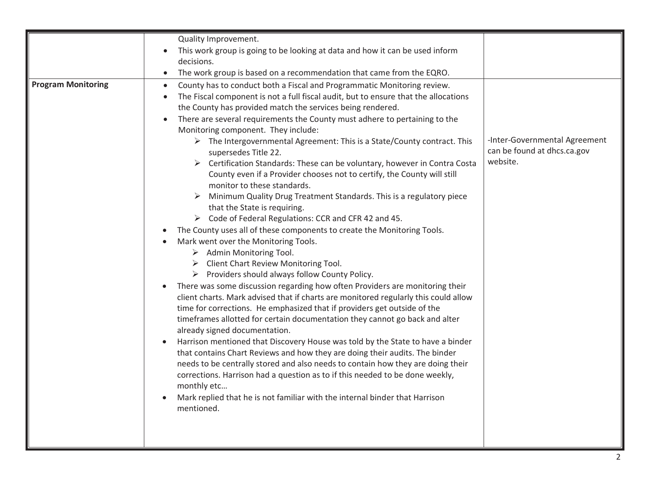|                           | Quality Improvement.                                                                                                                                                                                                                                                                                                                                                                                                                                                                                                                                                                                                                                                                                                                                                                                                                                                                                                                                                                                                                                                                                                                                                                                                                                                                                                                                                                                                                                                                                                                                                                                                                                                                                                                                                                                                                                                                                                                                                                             |                                                                          |
|---------------------------|--------------------------------------------------------------------------------------------------------------------------------------------------------------------------------------------------------------------------------------------------------------------------------------------------------------------------------------------------------------------------------------------------------------------------------------------------------------------------------------------------------------------------------------------------------------------------------------------------------------------------------------------------------------------------------------------------------------------------------------------------------------------------------------------------------------------------------------------------------------------------------------------------------------------------------------------------------------------------------------------------------------------------------------------------------------------------------------------------------------------------------------------------------------------------------------------------------------------------------------------------------------------------------------------------------------------------------------------------------------------------------------------------------------------------------------------------------------------------------------------------------------------------------------------------------------------------------------------------------------------------------------------------------------------------------------------------------------------------------------------------------------------------------------------------------------------------------------------------------------------------------------------------------------------------------------------------------------------------------------------------|--------------------------------------------------------------------------|
|                           | This work group is going to be looking at data and how it can be used inform                                                                                                                                                                                                                                                                                                                                                                                                                                                                                                                                                                                                                                                                                                                                                                                                                                                                                                                                                                                                                                                                                                                                                                                                                                                                                                                                                                                                                                                                                                                                                                                                                                                                                                                                                                                                                                                                                                                     |                                                                          |
|                           | decisions.                                                                                                                                                                                                                                                                                                                                                                                                                                                                                                                                                                                                                                                                                                                                                                                                                                                                                                                                                                                                                                                                                                                                                                                                                                                                                                                                                                                                                                                                                                                                                                                                                                                                                                                                                                                                                                                                                                                                                                                       |                                                                          |
|                           | The work group is based on a recommendation that came from the EQRO.<br>$\bullet$                                                                                                                                                                                                                                                                                                                                                                                                                                                                                                                                                                                                                                                                                                                                                                                                                                                                                                                                                                                                                                                                                                                                                                                                                                                                                                                                                                                                                                                                                                                                                                                                                                                                                                                                                                                                                                                                                                                |                                                                          |
| <b>Program Monitoring</b> | County has to conduct both a Fiscal and Programmatic Monitoring review.<br>$\bullet$<br>The Fiscal component is not a full fiscal audit, but to ensure that the allocations<br>$\bullet$<br>the County has provided match the services being rendered.<br>There are several requirements the County must adhere to pertaining to the<br>$\bullet$<br>Monitoring component. They include:<br>$\triangleright$ The Intergovernmental Agreement: This is a State/County contract. This<br>supersedes Title 22.<br>$\triangleright$ Certification Standards: These can be voluntary, however in Contra Costa<br>County even if a Provider chooses not to certify, the County will still<br>monitor to these standards.<br>Minimum Quality Drug Treatment Standards. This is a regulatory piece<br>that the State is requiring.<br>> Code of Federal Regulations: CCR and CFR 42 and 45.<br>The County uses all of these components to create the Monitoring Tools.<br>Mark went over the Monitoring Tools.<br>$\triangleright$ Admin Monitoring Tool.<br>Client Chart Review Monitoring Tool.<br>➤<br>$\triangleright$ Providers should always follow County Policy.<br>There was some discussion regarding how often Providers are monitoring their<br>$\bullet$<br>client charts. Mark advised that if charts are monitored regularly this could allow<br>time for corrections. He emphasized that if providers get outside of the<br>timeframes allotted for certain documentation they cannot go back and alter<br>already signed documentation.<br>Harrison mentioned that Discovery House was told by the State to have a binder<br>that contains Chart Reviews and how they are doing their audits. The binder<br>needs to be centrally stored and also needs to contain how they are doing their<br>corrections. Harrison had a question as to if this needed to be done weekly,<br>monthly etc<br>Mark replied that he is not familiar with the internal binder that Harrison<br>mentioned. | -Inter-Governmental Agreement<br>can be found at dhcs.ca.gov<br>website. |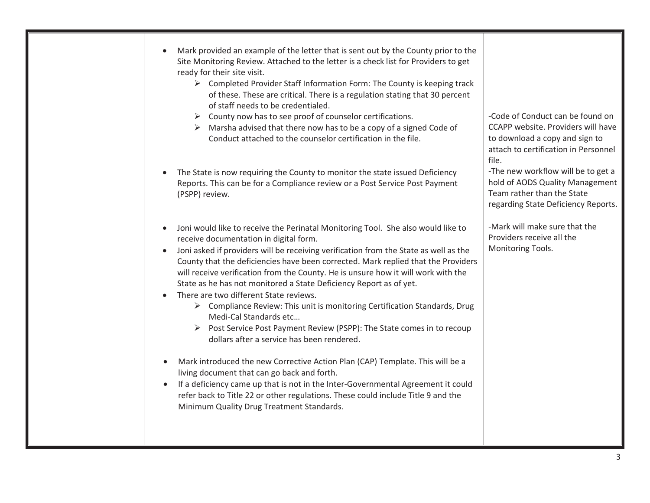|           | Mark provided an example of the letter that is sent out by the County prior to the<br>Site Monitoring Review. Attached to the letter is a check list for Providers to get<br>ready for their site visit.<br>$\triangleright$ Completed Provider Staff Information Form: The County is keeping track<br>of these. These are critical. There is a regulation stating that 30 percent<br>of staff needs to be credentialed.<br>$\triangleright$ County now has to see proof of counselor certifications.<br>$\triangleright$ Marsha advised that there now has to be a copy of a signed Code of<br>Conduct attached to the counselor certification in the file.                                                                                                                                                                                                                                                                                                                                                                                                                                       | -Code of Conduct can be found on<br>CCAPP website. Providers will have<br>to download a copy and sign to<br>attach to certification in Personnel<br>file. |
|-----------|----------------------------------------------------------------------------------------------------------------------------------------------------------------------------------------------------------------------------------------------------------------------------------------------------------------------------------------------------------------------------------------------------------------------------------------------------------------------------------------------------------------------------------------------------------------------------------------------------------------------------------------------------------------------------------------------------------------------------------------------------------------------------------------------------------------------------------------------------------------------------------------------------------------------------------------------------------------------------------------------------------------------------------------------------------------------------------------------------|-----------------------------------------------------------------------------------------------------------------------------------------------------------|
|           | The State is now requiring the County to monitor the state issued Deficiency<br>Reports. This can be for a Compliance review or a Post Service Post Payment<br>(PSPP) review.                                                                                                                                                                                                                                                                                                                                                                                                                                                                                                                                                                                                                                                                                                                                                                                                                                                                                                                      | -The new workflow will be to get a<br>hold of AODS Quality Management<br>Team rather than the State<br>regarding State Deficiency Reports.                |
| $\bullet$ | Joni would like to receive the Perinatal Monitoring Tool. She also would like to<br>receive documentation in digital form.<br>Joni asked if providers will be receiving verification from the State as well as the<br>County that the deficiencies have been corrected. Mark replied that the Providers<br>will receive verification from the County. He is unsure how it will work with the<br>State as he has not monitored a State Deficiency Report as of yet.<br>There are two different State reviews.<br>> Compliance Review: This unit is monitoring Certification Standards, Drug<br>Medi-Cal Standards etc<br>> Post Service Post Payment Review (PSPP): The State comes in to recoup<br>dollars after a service has been rendered.<br>Mark introduced the new Corrective Action Plan (CAP) Template. This will be a<br>living document that can go back and forth.<br>If a deficiency came up that is not in the Inter-Governmental Agreement it could<br>refer back to Title 22 or other regulations. These could include Title 9 and the<br>Minimum Quality Drug Treatment Standards. | -Mark will make sure that the<br>Providers receive all the<br>Monitoring Tools.                                                                           |